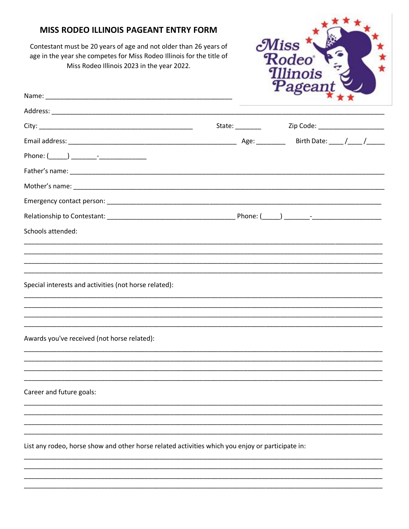### MISS RODEO ILLINOIS PAGEANT ENTRY FORM

Contestant must be 20 years of age and not older than 26 years of age in the year she competes for Miss Rodeo Illinois for the title of Miss Rodeo Illinois 2023 in the year 2022.



|                                                                                                  | State: New York State: | Zip Code: _______________________ |  |
|--------------------------------------------------------------------------------------------------|------------------------|-----------------------------------|--|
|                                                                                                  |                        |                                   |  |
|                                                                                                  |                        |                                   |  |
|                                                                                                  |                        |                                   |  |
|                                                                                                  |                        |                                   |  |
|                                                                                                  |                        |                                   |  |
|                                                                                                  |                        |                                   |  |
| Schools attended:                                                                                |                        |                                   |  |
|                                                                                                  |                        |                                   |  |
| Special interests and activities (not horse related):                                            |                        |                                   |  |
| Awards you've received (not horse related):                                                      |                        |                                   |  |
| Career and future goals:                                                                         |                        |                                   |  |
|                                                                                                  |                        |                                   |  |
|                                                                                                  |                        |                                   |  |
| List any rodeo, horse show and other horse related activities which you enjoy or participate in: |                        |                                   |  |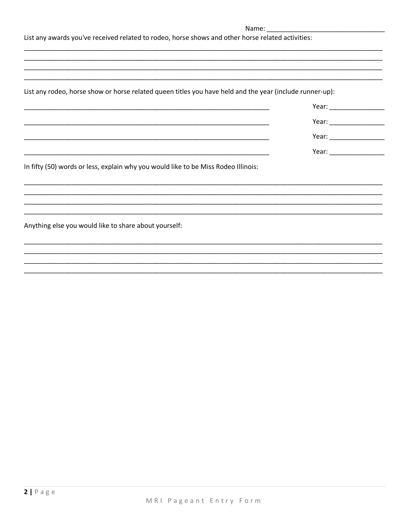| Name: |  |
|-------|--|
|       |  |
|       |  |

List any awards you've received related to rodeo, horse shows and other horse related activities:

List any rodeo, horse show or horse related queen titles you have held and the year (include runner-up):

In fifty (50) words or less, explain why you would like to be Miss Rodeo Illinois:

Anything else you would like to share about yourself: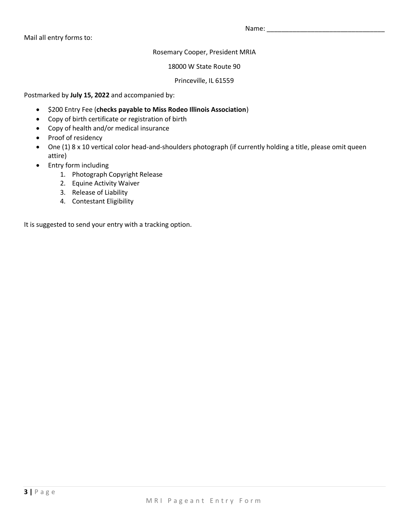Mail all entry forms to:

Name: \_\_\_\_\_\_\_\_\_\_\_\_\_\_\_\_\_\_\_\_\_\_\_\_\_\_\_\_\_\_\_\_

Rosemary Cooper, President MRIA

18000 W State Route 90

Princeville, IL 61559

Postmarked by **July 15, 2022** and accompanied by:

- \$200 Entry Fee (**checks payable to Miss Rodeo Illinois Association**)
- Copy of birth certificate or registration of birth
- Copy of health and/or medical insurance
- Proof of residency
- One (1) 8 x 10 vertical color head-and-shoulders photograph (if currently holding a title, please omit queen attire)
- Entry form including
	- 1. Photograph Copyright Release
	- 2. Equine Activity Waiver
	- 3. Release of Liability
	- 4. Contestant Eligibility

It is suggested to send your entry with a tracking option.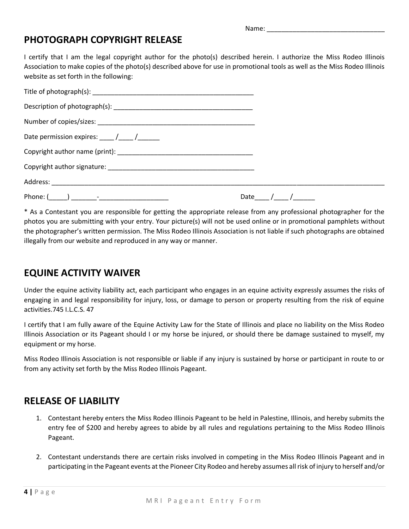Name: \_\_\_\_\_\_\_\_\_\_\_\_\_\_\_\_\_\_\_\_\_\_\_\_\_\_\_\_\_\_\_\_

### **PHOTOGRAPH COPYRIGHT RELEASE**

I certify that I am the legal copyright author for the photo(s) described herein. I authorize the Miss Rodeo Illinois Association to make copies of the photo(s) described above for use in promotional tools as well as the Miss Rodeo Illinois website as set forth in the following:

| Date permission expires: $\frac{1}{\sqrt{1-\frac{1}{2}}}$ |            |
|-----------------------------------------------------------|------------|
|                                                           |            |
|                                                           |            |
|                                                           |            |
|                                                           | Date $/$ / |

\* As a Contestant you are responsible for getting the appropriate release from any professional photographer for the photos you are submitting with your entry. Your picture(s) will not be used online or in promotional pamphlets without the photographer's written permission. The Miss Rodeo Illinois Association is not liable if such photographs are obtained illegally from our website and reproduced in any way or manner.

# **EQUINE ACTIVITY WAIVER**

Under the equine activity liability act, each participant who engages in an equine activity expressly assumes the risks of engaging in and legal responsibility for injury, loss, or damage to person or property resulting from the risk of equine activities.745 I.L.C.S. 47

I certify that I am fully aware of the Equine Activity Law for the State of Illinois and place no liability on the Miss Rodeo Illinois Association or its Pageant should I or my horse be injured, or should there be damage sustained to myself, my equipment or my horse.

Miss Rodeo Illinois Association is not responsible or liable if any injury is sustained by horse or participant in route to or from any activity set forth by the Miss Rodeo Illinois Pageant.

# **RELEASE OF LIABILITY**

- 1. Contestant hereby enters the Miss Rodeo Illinois Pageant to be held in Palestine, Illinois, and hereby submits the entry fee of \$200 and hereby agrees to abide by all rules and regulations pertaining to the Miss Rodeo Illinois Pageant.
- 2. Contestant understands there are certain risks involved in competing in the Miss Rodeo Illinois Pageant and in participating in the Pageant events at the Pioneer City Rodeo and hereby assumes all risk of injury to herself and/or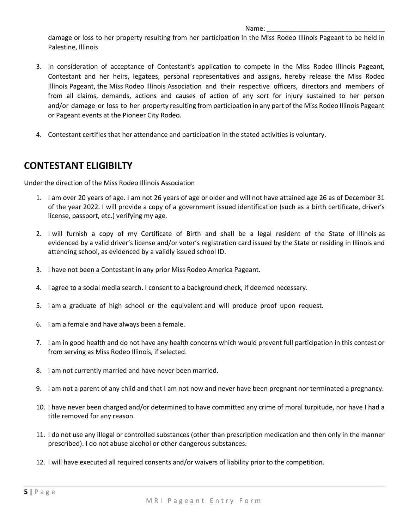#### Name:

damage or loss to her property resulting from her participation in the Miss Rodeo Illinois Pageant to be held in Palestine, Illinois

- 3. In consideration of acceptance of Contestant's application to compete in the Miss Rodeo Illinois Pageant, Contestant and her heirs, legatees, personal representatives and assigns, hereby release the Miss Rodeo Illinois Pageant, the Miss Rodeo Illinois Association and their respective officers, directors and members of from all claims, demands, actions and causes of action of any sort for injury sustained to her person and/or damage or loss to her property resulting from participation in any part of the Miss Rodeo Illinois Pageant or Pageant events at the Pioneer City Rodeo.
- 4. Contestant certifies that her attendance and participation in the stated activities is voluntary.

# **CONTESTANT ELIGIBILTY**

Under the direction of the Miss Rodeo Illinois Association

- 1. I am over 20 years of age. I am not 26 years of age or older and will not have attained age 26 as of December 31 of the year 2022. I will provide a copy of a government issued identification (such as a birth certificate, driver's license, passport, etc.) verifying my age.
- 2. I will furnish a copy of my Certificate of Birth and shall be a legal resident of the State of Illinois as evidenced by a valid driver's license and/or voter's registration card issued by the State or residing in Illinois and attending school, as evidenced by a validly issued school ID.
- 3. I have not been a Contestant in any prior Miss Rodeo America Pageant.
- 4. I agree to a social media search. I consent to a background check, if deemed necessary.
- 5. I am a graduate of high school or the equivalent and will produce proof upon request.
- 6. I am a female and have always been a female.
- 7. I am in good health and do not have any health concerns which would prevent full participation in this contest or from serving as Miss Rodeo Illinois, if selected.
- 8. I am not currently married and have never been married.
- 9. I am not a parent of any child and that I am not now and never have been pregnant nor terminated a pregnancy.
- 10. I have never been charged and/or determined to have committed any crime of moral turpitude, nor have I had a title removed for any reason.
- 11. I do not use any illegal or controlled substances (other than prescription medication and then only in the manner prescribed). I do not abuse alcohol or other dangerous substances.
- 12. I will have executed all required consents and/or waivers of liability prior to the competition.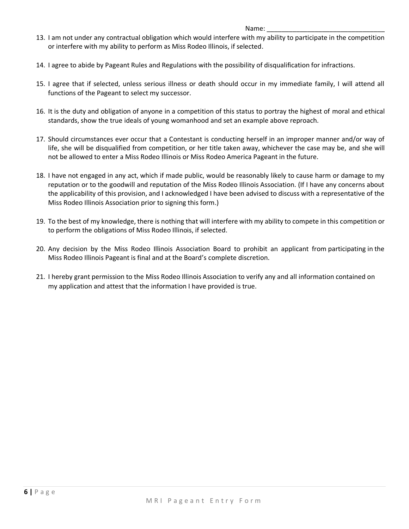### Name:

- 13. I am not under any contractual obligation which would interfere with my ability to participate in the competition or interfere with my ability to perform as Miss Rodeo Illinois, if selected.
- 14. I agree to abide by Pageant Rules and Regulations with the possibility of disqualification for infractions.
- 15. I agree that if selected, unless serious illness or death should occur in my immediate family, I will attend all functions of the Pageant to select my successor.
- 16. It is the duty and obligation of anyone in a competition of this status to portray the highest of moral and ethical standards, show the true ideals of young womanhood and set an example above reproach.
- 17. Should circumstances ever occur that a Contestant is conducting herself in an improper manner and/or way of life, she will be disqualified from competition, or her title taken away, whichever the case may be, and she will not be allowed to enter a Miss Rodeo Illinois or Miss Rodeo America Pageant in the future.
- 18. I have not engaged in any act, which if made public, would be reasonably likely to cause harm or damage to my reputation or to the goodwill and reputation of the Miss Rodeo Illinois Association. (If I have any concerns about the applicability of this provision, and I acknowledged I have been advised to discuss with a representative of the Miss Rodeo Illinois Association prior to signing this form.)
- 19. To the best of my knowledge, there is nothing that will interfere with my ability to compete in this competition or to perform the obligations of Miss Rodeo Illinois, if selected.
- 20. Any decision by the Miss Rodeo Illinois Association Board to prohibit an applicant from participating in the Miss Rodeo Illinois Pageant is final and at the Board's complete discretion.
- 21. I hereby grant permission to the Miss Rodeo Illinois Association to verify any and all information contained on my application and attest that the information I have provided is true.